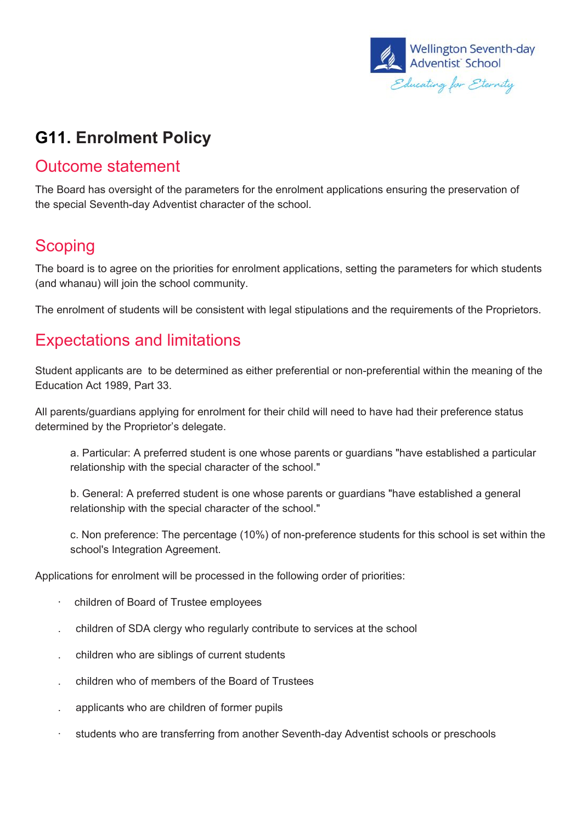

# **G11. Enrolment Policy**

#### Outcome statement

The Board has oversight of the parameters for the enrolment applications ensuring the preservation of the special Seventh-day Adventist character of the school.

#### **Scoping**

The board is to agree on the priorities for enrolment applications, setting the parameters for which students (and whanau) will join the school community.

The enrolment of students will be consistent with legal stipulations and the requirements of the Proprietors.

### Expectations and limitations

Student applicants are to be determined as either preferential or non-preferential within the meaning of the Education Act 1989, Part 33.

All parents/guardians applying for enrolment for their child will need to have had their preference status determined by the Proprietor's delegate.

a. Particular: A preferred student is one whose parents or guardians "have established a particular relationship with the special character of the school."

b. General: A preferred student is one whose parents or guardians "have established a general relationship with the special character of the school."

c. Non preference: The percentage (10%) of non-preference students for this school is set within the school's Integration Agreement.

Applications for enrolment will be processed in the following order of priorities:

- · children of Board of Trustee employees
- . children of SDA clergy who regularly contribute to services at the school
- . children who are siblings of current students
- . children who of members of the Board of Trustees
- . applicants who are children of former pupils
- · students who are transferring from another Seventh-day Adventist schools or preschools